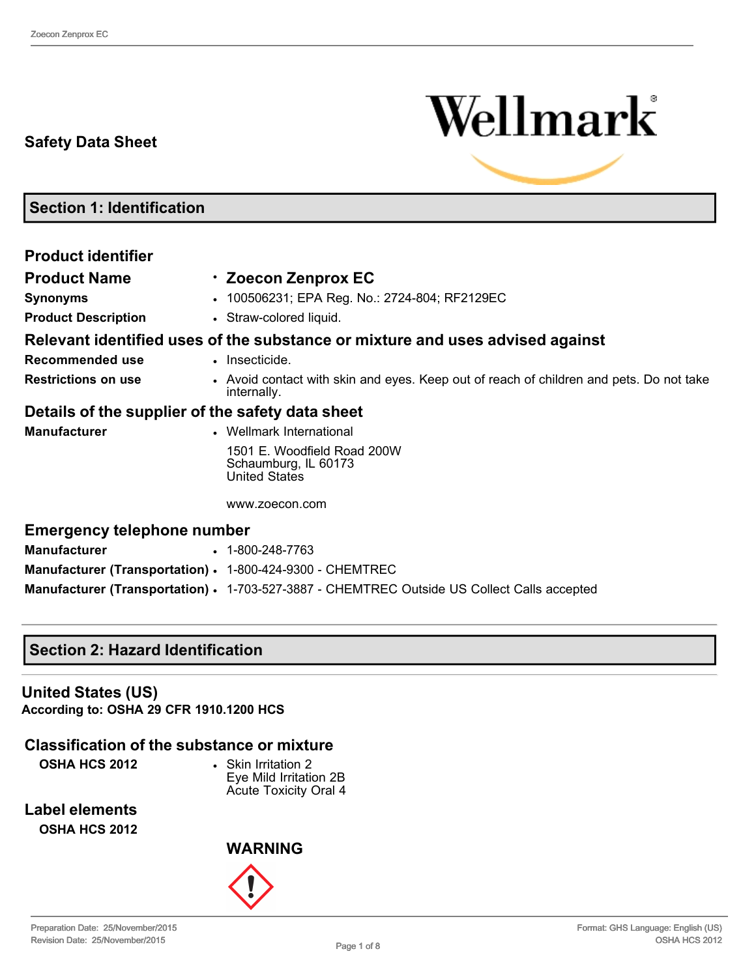# **Safety Data Sheet**



**Section 1: Identification**

| <b>Product identifier</b>                                 |                                                                                                        |
|-----------------------------------------------------------|--------------------------------------------------------------------------------------------------------|
| <b>Product Name</b>                                       | · Zoecon Zenprox EC                                                                                    |
| <b>Synonyms</b>                                           | • 100506231; EPA Reg. No.: 2724-804; RF2129EC                                                          |
| <b>Product Description</b>                                | • Straw-colored liquid.                                                                                |
|                                                           | Relevant identified uses of the substance or mixture and uses advised against                          |
| Recommended use                                           | • Insecticide.                                                                                         |
| <b>Restrictions on use</b>                                | • Avoid contact with skin and eyes. Keep out of reach of children and pets. Do not take<br>internally. |
| Details of the supplier of the safety data sheet          |                                                                                                        |
| <b>Manufacturer</b>                                       | • Wellmark International                                                                               |
|                                                           | 1501 E. Woodfield Road 200W<br>Schaumburg, IL 60173<br><b>United States</b>                            |
|                                                           | www.zoecon.com                                                                                         |
| <b>Emergency telephone number</b>                         |                                                                                                        |
| <b>Manufacturer</b>                                       | $\cdot$ 1-800-248-7763                                                                                 |
| Manufacturer (Transportation) · 1-800-424-9300 - CHEMTREC |                                                                                                        |
|                                                           | Manufacturer (Transportation) . 1-703-527-3887 - CHEMTREC Outside US Collect Calls accepted            |

## **Section 2: Hazard Identification**

**United States (US) According to: OSHA 29 CFR 1910.1200 HCS**

## **Classification of the substance or mixture**

**OSHA HCS 2012** • Skin Irritation 2

Eye Mild Irritation 2B Acute Toxicity Oral 4

**Label elements**

**OSHA HCS 2012**

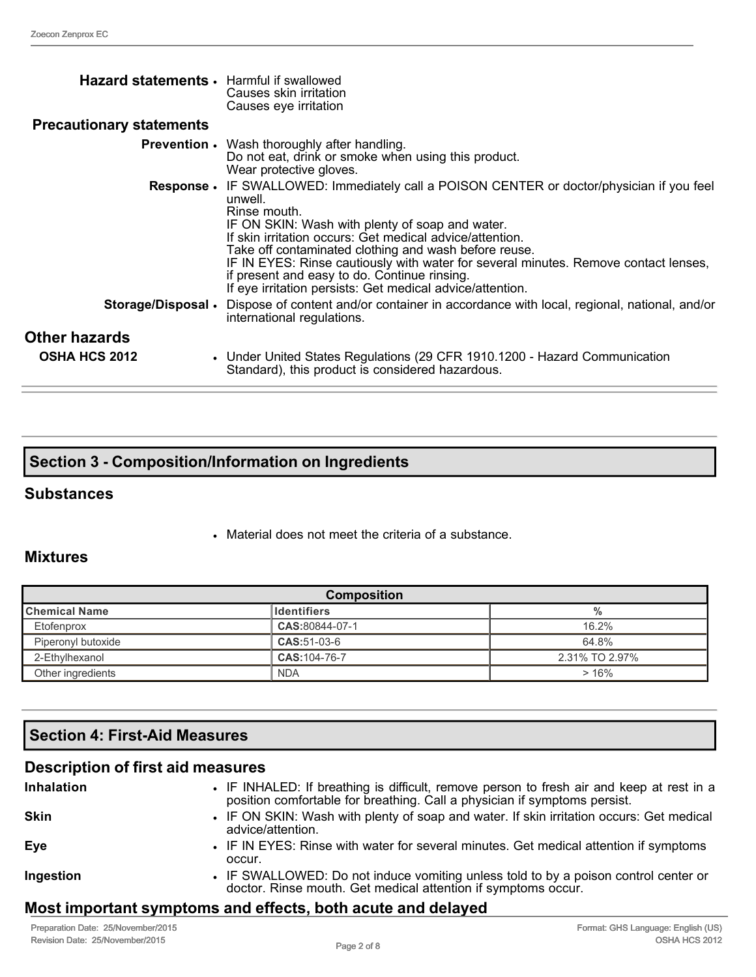| Hazard statements • Harmful if swallowed<br><b>Precautionary statements</b> | Causes skin irritation<br>Causes eye irritation                                                                                                                                                                                                                                                                                                                                                                                                                                                         |
|-----------------------------------------------------------------------------|---------------------------------------------------------------------------------------------------------------------------------------------------------------------------------------------------------------------------------------------------------------------------------------------------------------------------------------------------------------------------------------------------------------------------------------------------------------------------------------------------------|
|                                                                             | <b>Prevention •</b> Wash thoroughly after handling.<br>Do not eat, drink or smoke when using this product.<br>Wear protective gloves.                                                                                                                                                                                                                                                                                                                                                                   |
|                                                                             | <b>Response •</b> IF SWALLOWED: Immediately call a POISON CENTER or doctor/physician if you feel<br>unwell.<br>Rinse mouth.<br>IF ON SKIN: Wash with plenty of soap and water.<br>If skin irritation occurs: Get medical advice/attention.<br>Take off contaminated clothing and wash before reuse.<br>IF IN EYES: Rinse cautiously with water for several minutes. Remove contact lenses,<br>if present and easy to do. Continue rinsing.<br>If eye irritation persists: Get medical advice/attention. |
| Storage/Disposal •                                                          | Dispose of content and/or container in accordance with local, regional, national, and/or<br>international regulations.                                                                                                                                                                                                                                                                                                                                                                                  |
| Other hazards                                                               |                                                                                                                                                                                                                                                                                                                                                                                                                                                                                                         |
| <b>OSHA HCS 2012</b>                                                        | • Under United States Regulations (29 CFR 1910.1200 - Hazard Communication<br>Standard), this product is considered hazardous.                                                                                                                                                                                                                                                                                                                                                                          |

|  | <b>Section 3 - Composition/Information on Ingredients</b> |  |
|--|-----------------------------------------------------------|--|
|--|-----------------------------------------------------------|--|

#### **Substances**

• Material does not meet the criteria of a substance.

## **Mixtures**

| <b>Composition</b>                           |                |                |  |
|----------------------------------------------|----------------|----------------|--|
| ∥Chemical Name<br><b>Identifiers</b><br>$\%$ |                |                |  |
| Etofenprox                                   | CAS:80844-07-1 | 16.2%          |  |
| Piperonyl butoxide                           | CAS:51-03-6    | 64.8%          |  |
| 2-Ethylhexanol                               | CAS: 104-76-7  | 2.31% TO 2.97% |  |
| Other ingredients                            | <b>NDA</b>     | >16%           |  |

# **Section 4: First-Aid Measures**

| <b>Description of first aid measures</b> |                                                                                                                                                                        |
|------------------------------------------|------------------------------------------------------------------------------------------------------------------------------------------------------------------------|
| Inhalation                               | • IF INHALED: If breathing is difficult, remove person to fresh air and keep at rest in a<br>position comfortable for breathing. Call a physician if symptoms persist. |
| Skin                                     | • IF ON SKIN: Wash with plenty of soap and water. If skin irritation occurs: Get medical<br>advice/attention.                                                          |
| Eye                                      | • IF IN EYES: Rinse with water for several minutes. Get medical attention if symptoms<br>occur.                                                                        |
| Ingestion                                | • IF SWALLOWED: Do not induce vomiting unless told to by a poison control center or<br>doctor. Rinse mouth. Get medical attention if symptoms occur.                   |
|                                          |                                                                                                                                                                        |

## **Most important symptoms and effects, both acute and delayed**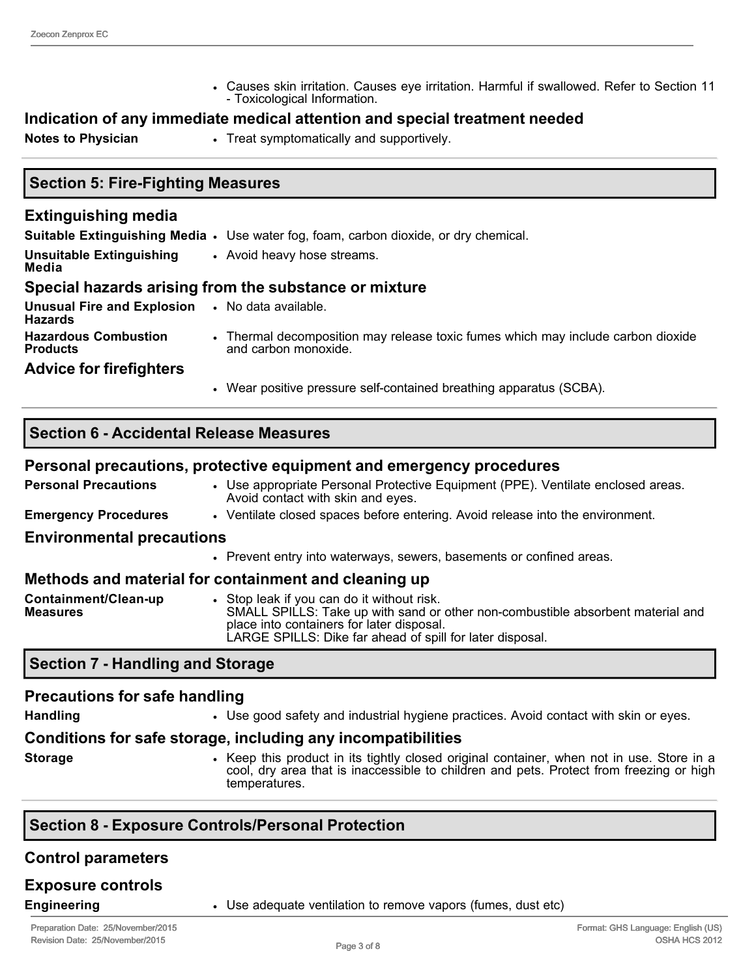• Causes skin irritation. Causes eye irritation. Harmful if swallowed. Refer to Section 11 Toxicological Information.

# **Indication of any immediate medical attention and special treatment needed**

**Notes to Physician • Treat symptomatically and supportively.** 

## **Section 5: Fire-Fighting Measures**

#### **Extinguishing media Suitable Extinguishing Media** • Use water fog, foam, carbon dioxide, or dry chemical. **Unsuitable Extinguishing Media** • Avoid heavy hose streams. **Special hazards arising from the substance or mixture Unusual Fire and Explosion Hazards** • No data available. **Hazardous Combustion Products** • Thermal decomposition may release toxic fumes which may include carbon dioxide and carbon monoxide. **Advice for firefighters** • Wear positive pressure self-contained breathing apparatus (SCBA).

## **Section 6 Accidental Release Measures**

#### **Personal precautions, protective equipment and emergency procedures**

**Personal Precautions ••** Use appropriate Personal Protective Equipment (PPE). Ventilate enclosed areas. Avoid contact with skin and eyes.

**Emergency Procedures ••••** Ventilate closed spaces before entering. Avoid release into the environment.

#### **Environmental precautions**

• Prevent entry into waterways, sewers, basements or confined areas.

#### **Methods and material for containment and cleaning up**

| Containment/Clean-up | Stop leak if you can do it without risk.                                                                                     |
|----------------------|------------------------------------------------------------------------------------------------------------------------------|
| <b>Measures</b>      | SMALL SPILLS: Take up with sand or other non-combustible absorbent material and<br>place into containers for later disposal. |
|                      | LARGE SPILLS: Dike far ahead of spill for later disposal.                                                                    |

## **Section 7 Handling and Storage**

#### **Precautions for safe handling**

**Handling** • Use good safety and industrial hygiene practices. Avoid contact with skin or eyes.

#### **Conditions for safe storage, including any incompatibilities**

- 
- **Storage •** Keep this product in its tightly closed original container, when not in use. Store in a cool, dry area that is inaccessible to children and pets. Protect from freezing or high temperatures.

## **Section 8 Exposure Controls/Personal Protection**

#### **Control parameters**

# **Exposure controls**

**Engineering • Engineering • Use adequate ventilation to remove vapors (fumes, dust etc)**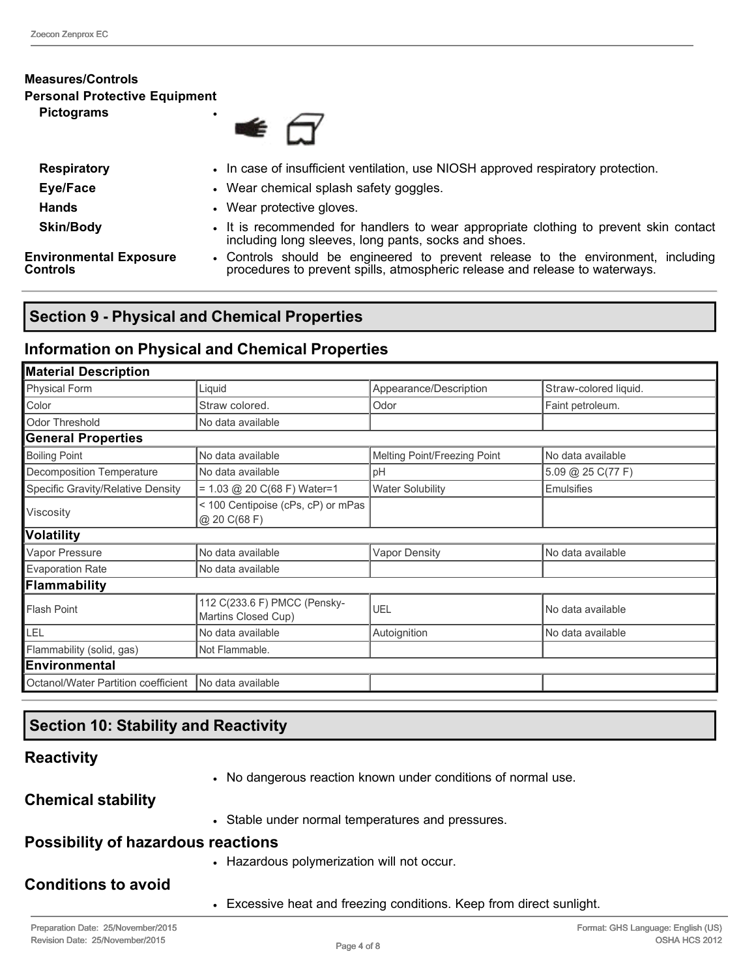#### **Measures/Controls Personal Protective Equipment Pictograms** •

I

| <b>Respiratory</b>                        | • In case of insufficient ventilation, use NIOSH approved respiratory protection.                                                                               |  |
|-------------------------------------------|-----------------------------------------------------------------------------------------------------------------------------------------------------------------|--|
| Eye/Face                                  | • Wear chemical splash safety goggles.                                                                                                                          |  |
| <b>Hands</b>                              | Wear protective gloves.                                                                                                                                         |  |
| <b>Skin/Body</b>                          | It is recommended for handlers to wear appropriate clothing to prevent skin contact<br>including long sleeves, long pants, socks and shoes.                     |  |
| <b>Environmental Exposure</b><br>Controls | • Controls should be engineered to prevent release to the environment, including<br>procedures to prevent spills, atmospheric release and release to waterways. |  |

## **Section 9 Physical and Chemical Properties**

## **Information on Physical and Chemical Properties**

| <b>Material Description</b>                                               |                                                    |                              |                       |
|---------------------------------------------------------------------------|----------------------------------------------------|------------------------------|-----------------------|
| Physical Form                                                             | Liquid<br>Appearance/Description                   |                              | Straw-colored liquid. |
| Color                                                                     | Straw colored.                                     | Odor                         | Faint petroleum.      |
| Odor Threshold                                                            | No data available                                  |                              |                       |
| <b>General Properties</b>                                                 |                                                    |                              |                       |
| <b>Boiling Point</b>                                                      | No data available                                  | Melting Point/Freezing Point | No data available     |
| Decomposition Temperature                                                 | No data available                                  | pH                           | 5.09 @ 25 C(77 F)     |
| Specific Gravity/Relative Density                                         | $= 1.03$ @ 20 C(68 F) Water=1                      | <b>Water Solubility</b>      | <b>Emulsifies</b>     |
| Viscosity                                                                 | < 100 Centipoise (cPs, cP) or mPas<br>@ 20 C(68 F) |                              |                       |
| Volatility                                                                |                                                    |                              |                       |
| Vapor Pressure                                                            | No data available                                  | <b>Vapor Density</b>         | No data available     |
| <b>Evaporation Rate</b>                                                   | No data available                                  |                              |                       |
| Flammability                                                              |                                                    |                              |                       |
| 112 C(233.6 F) PMCC (Pensky-<br><b>Flash Point</b><br>Martins Closed Cup) |                                                    | UEL                          | No data available     |
| LEL                                                                       | No data available                                  | Autoignition                 | No data available     |
| Flammability (solid, gas)                                                 | Not Flammable.                                     |                              |                       |
| <b>Environmental</b>                                                      |                                                    |                              |                       |
| Octanol/Water Partition coefficient                                       | No data available                                  |                              |                       |

## **Section 10: Stability and Reactivity**

## **Reactivity**

• No dangerous reaction known under conditions of normal use.

**Chemical stability**

• Stable under normal temperatures and pressures.

## **Possibility of hazardous reactions**

• Hazardous polymerization will not occur.

## **Conditions to avoid**

• Excessive heat and freezing conditions. Keep from direct sunlight.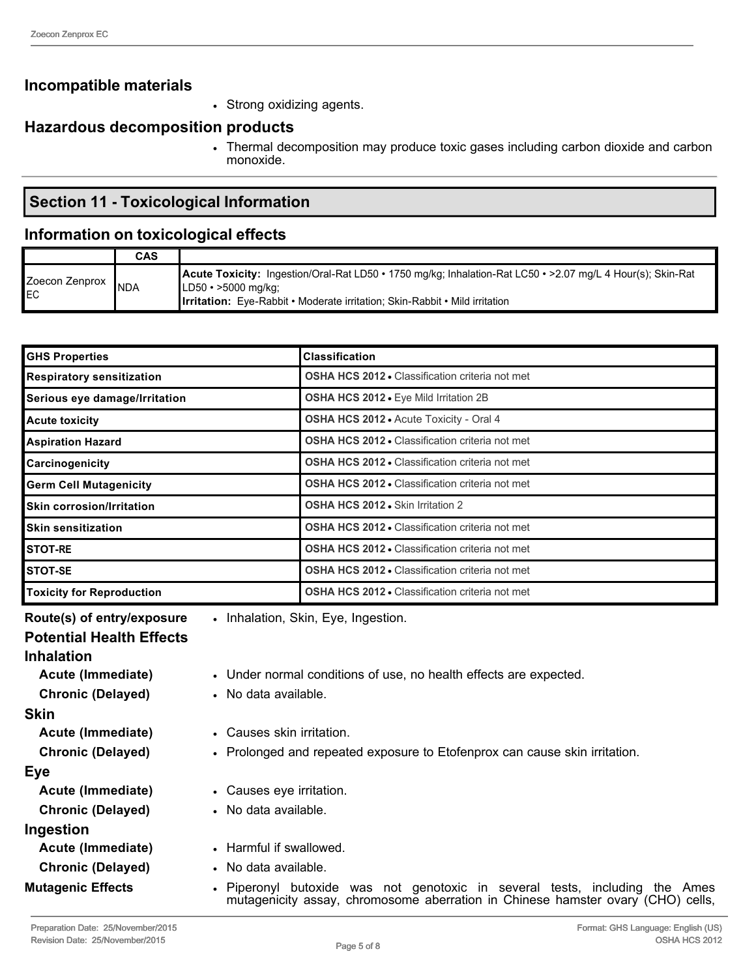## **Incompatible materials**

• Strong oxidizing agents.

## **Hazardous decomposition products**

• Thermal decomposition may produce toxic gases including carbon dioxide and carbon monoxide.

## **Section 11 Toxicological Information**

#### **Information on toxicological effects**

|                      | <b>CAS</b> |                                                                                                                                                                                                                                                |
|----------------------|------------|------------------------------------------------------------------------------------------------------------------------------------------------------------------------------------------------------------------------------------------------|
| Zoecon Zenprox<br>EC | <b>NDA</b> | <b>Acute Toxicity:</b> Ingestion/Oral-Rat LD50 • 1750 mg/kg; Inhalation-Rat LC50 • > 2.07 mg/L 4 Hour(s); Skin-Rat<br>$ LD50 \cdot >5000 \text{ mg/kg} $<br><b>Irritation:</b> Eye-Rabbit • Moderate irritation: Skin-Rabbit • Mild irritation |

| <b>GHS Properties</b>            | <b>Classification</b>                                  |
|----------------------------------|--------------------------------------------------------|
| <b>Respiratory sensitization</b> | <b>OSHA HCS 2012 - Classification criteria not met</b> |
| Serious eye damage/Irritation    | OSHA HCS 2012 . Eye Mild Irritation 2B                 |
| <b>Acute toxicity</b>            | OSHA HCS 2012 . Acute Toxicity - Oral 4                |
| <b>Aspiration Hazard</b>         | <b>OSHA HCS 2012 • Classification criteria not met</b> |
| Carcinogenicity                  | <b>OSHA HCS 2012 • Classification criteria not met</b> |
| <b>Germ Cell Mutagenicity</b>    | <b>OSHA HCS 2012 - Classification criteria not met</b> |
| <b>Skin corrosion/Irritation</b> | <b>OSHA HCS 2012 • Skin Irritation 2</b>               |
| <b>Skin sensitization</b>        | <b>OSHA HCS 2012 • Classification criteria not met</b> |
| <b>STOT-RE</b>                   | <b>OSHA HCS 2012 • Classification criteria not met</b> |
| STOT-SE                          | <b>OSHA HCS 2012 • Classification criteria not met</b> |
| <b>Toxicity for Reproduction</b> | <b>OSHA HCS 2012 • Classification criteria not met</b> |

**Route(s) of entry/exposure** • Inhalation, Skin, Eye, Ingestion.

#### **Potential Health Effects**

#### **Inhalation**

- **Acute (Immediate)** Under normal conditions of use, no health effects are expected. **Chronic (Delayed)** • No data available. **Skin Acute (Immediate)** • Causes skin irritation. **Chronic (Delayed)** • Prolonged and repeated exposure to Etofenprox can cause skin irritation. **Eye Acute (Immediate)** • Causes eye irritation. **Chronic (Delayed)** • No data available. **Ingestion Acute (Immediate)** • Harmful if swallowed. **Chronic (Delayed)** • No data available.
- **Mutagenic Effects • Piperonyl butoxide was not genotoxic in several tests, including the Ames** mutagenicity assay, chromosome aberration in Chinese hamster ovary (CHO) cells,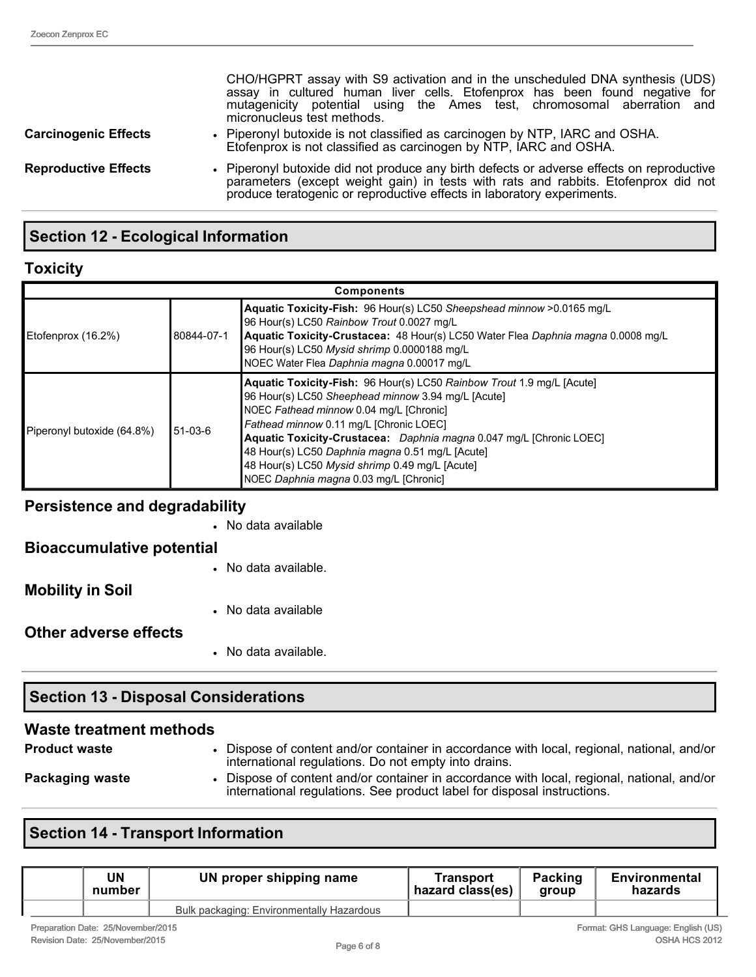CHO/HGPRT assay with S9 activation and in the unscheduled DNA synthesis (UDS) assay in cultured human liver cells. Etofenprox has been found negative for mutagenicity potential using the Ames test, chromosomal aberration and micronucleus test methods. **Carcinogenic Effects** • Piperonyl butoxide is not classified as carcinogen by NTP, IARC and OSHA. Etofenprox is not classified as carcinogen by NTP, IARC and OSHA. **Reproductive Effects** • Piperonyl butoxide did not produce any birth defects or adverse effects on reproductive parameters (except weight gain) in tests with rats and rabbits. Etofenprox did not produce teratogenic or reproductive effects in laboratory experiments.

# **Section 12 Ecological Information**

## **Toxicity**

| <b>Components</b>          |            |                                                                                                                                                                                                                                                                                                                                                                                                                                         |
|----------------------------|------------|-----------------------------------------------------------------------------------------------------------------------------------------------------------------------------------------------------------------------------------------------------------------------------------------------------------------------------------------------------------------------------------------------------------------------------------------|
| Etofenprox (16.2%)         | 80844-07-1 | Aquatic Toxicity-Fish: 96 Hour(s) LC50 Sheepshead minnow > 0.0165 mg/L<br>96 Hour(s) LC50 Rainbow Trout 0.0027 mg/L<br>Aquatic Toxicity-Crustacea: 48 Hour(s) LC50 Water Flea Daphnia magna 0.0008 mg/L<br>96 Hour(s) LC50 Mysid shrimp 0.0000188 mg/L<br>INOEC Water Flea Daphnia magna 0.00017 mg/L                                                                                                                                   |
| Piperonyl butoxide (64.8%) | 51-03-6    | Aquatic Toxicity-Fish: 96 Hour(s) LC50 Rainbow Trout 1.9 mg/L [Acute]<br>96 Hour(s) LC50 Sheephead minnow 3.94 mg/L [Acute]<br>NOEC Fathead minnow 0.04 mg/L [Chronic]<br>Fathead minnow 0.11 mg/L [Chronic LOEC]<br>Aquatic Toxicity-Crustacea: Daphnia magna 0.047 mg/L [Chronic LOEC]<br>48 Hour(s) LC50 Daphnia magna 0.51 mg/L [Acute]<br>48 Hour(s) LC50 Mysid shrimp 0.49 mg/L [Acute]<br>NOEC Daphnia magna 0.03 mg/L [Chronic] |

#### **Persistence and degradability**

|                                  | • No data available. |
|----------------------------------|----------------------|
| Other adverse effects            | • No data available  |
| <b>Mobility in Soil</b>          |                      |
| <b>Bioaccumulative potential</b> | • No data available. |
|                                  |                      |
|                                  | • No data available  |

# **Section 13 Disposal Considerations**

| Waste treatment methods |                                                                                                                                                                     |
|-------------------------|---------------------------------------------------------------------------------------------------------------------------------------------------------------------|
| <b>Product waste</b>    | Dispose of content and/or container in accordance with local, regional, national, and/or<br>international regulations. Do not empty into drains.                    |
| Packaging waste         | Dispose of content and/or container in accordance with local, regional, national, and/or<br>international regulations. See product label for disposal instructions. |

# **Section 14 - Transport Information**

| UN<br>number                                                             | UN proper shipping name                   | Transport<br>hazard class(es) | <b>Packing</b><br>aroup | Environmental<br>hazards |
|--------------------------------------------------------------------------|-------------------------------------------|-------------------------------|-------------------------|--------------------------|
|                                                                          | Bulk packaging: Environmentally Hazardous |                               |                         |                          |
| Fermet: OUO Lenguage: Feelish (UO)<br>Description Data: OE/November/004E |                                           |                               |                         |                          |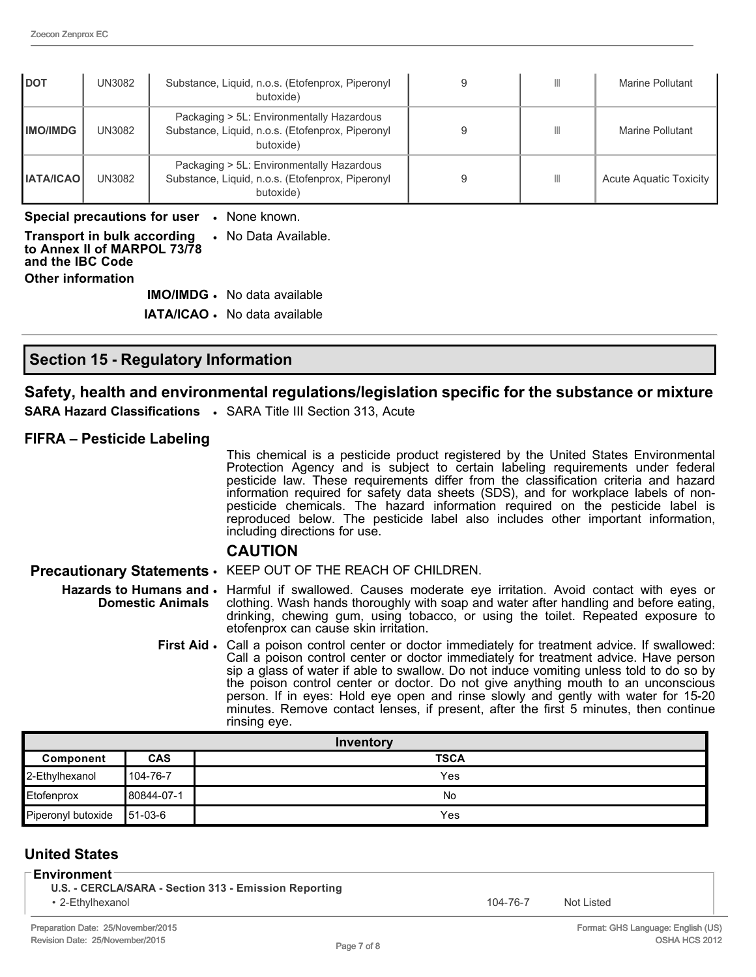| <b>DOT</b>       | UN3082        | Substance, Liquid, n.o.s. (Etofenprox, Piperonyl<br>butoxide)                                              | Ш | Marine Pollutant       |
|------------------|---------------|------------------------------------------------------------------------------------------------------------|---|------------------------|
| <b>IMO/IMDG</b>  | <b>UN3082</b> | Packaging > 5L: Environmentally Hazardous<br>Substance, Liquid, n.o.s. (Etofenprox, Piperonyl<br>butoxide) | Ш | Marine Pollutant       |
| <b>IATA/ICAO</b> | <b>UN3082</b> | Packaging > 5L: Environmentally Hazardous<br>Substance, Liquid, n.o.s. (Etofenprox, Piperonyl<br>butoxide) | Ш | Acute Aquatic Toxicity |

**Special precautions for user** • None known.

| <b>Transport in bulk according • No Data Available.</b><br>to Annex II of MARPOL 73/78<br>and the IBC Code<br>Other information |                                      |
|---------------------------------------------------------------------------------------------------------------------------------|--------------------------------------|
|                                                                                                                                 | <b>IMO/IMDG</b> . No data available  |
|                                                                                                                                 | <b>IATA/ICAO ·</b> No data available |

#### **Section 15 Regulatory Information**

#### **Safety, health and environmental regulations/legislation specific for the substance or mixture**

**SARA Hazard Classifications** • SARA Title III Section 313, Acute

#### **FIFRA – Pesticide Labeling**

This chemical is a pesticide product registered by the United States Environmental Protection Agency and is subject to certain labeling requirements under federal pesticide law. These requirements differ from the classification criteria and hazard information required for safety data sheets (SDS), and for workplace labels of nonpesticide chemicals. The hazard information required on the pesticide label is reproduced below. The pesticide label also includes other important information, including directions for use.

#### **CAUTION**

**Precautionary Statements** • KEEP OUT OF THE REACH OF CHILDREN.

- Hazards to Humans and **·** Harmful if swallowed. Causes moderate eye irritation. Avoid contact with eyes or **Domestic Animals** clothing. Wash hands thoroughly with soap and water after handling and before eating, drinking, chewing gum, using tobacco, or using the toilet. Repeated exposure to etofenprox can cause skin irritation.
	- First Aid · Call a poison control center or doctor immediately for treatment advice. If swallowed: Call a poison control center or doctor immediately for treatment advice. Have person sip a glass of water if able to swallow. Do not induce vomiting unless told to do so by the poison control center or doctor. Do not give anything mouth to an unconscious person. If in eyes: Hold eye open and rinse slowly and gently with water for 1520 minutes. Remove contact lenses, if present, after the first 5 minutes, then continue rinsing eye.

| Inventory          |             |             |
|--------------------|-------------|-------------|
| Component          | CAS         | <b>TSCA</b> |
| 2-Ethylhexanol     | 104-76-7    | Yes         |
| Etofenprox         | 80844-07-1  | No          |
| Piperonyl butoxide | $ 51-03-6 $ | Yes         |

#### **United States**

**Environment**

**U.S. - CERCLA/SARA - Section 313 - Emission Reporting** 

• 2-Ethylhexanol **104-76-7** Not Listed